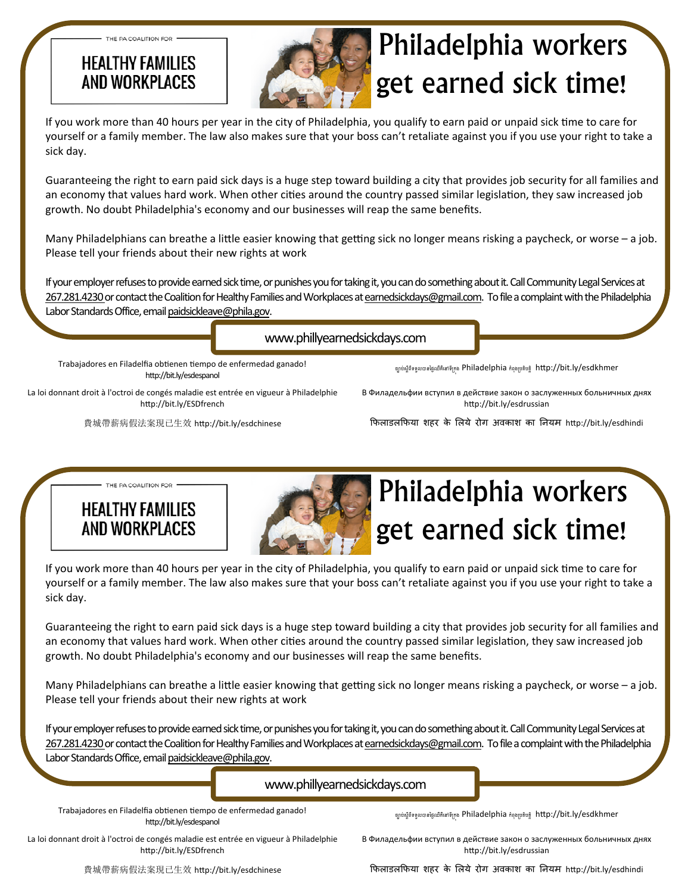### **HEALTHY FAMILIES** AND WORKPLACES

THE PA COALITION FOR



# Philadelphia workers get earned sick time!

If you work more than 40 hours per year in the city of Philadelphia, you qualify to earn paid or unpaid sick time to care for yourself or a family member. The law also makes sure that your boss can't retaliate against you if you use your right to take a sick day.

Guaranteeing the right to earn paid sick days is a huge step toward building a city that provides job security for all families and an economy that values hard work. When other cities around the country passed similar legislation, they saw increased job growth. No doubt Philadelphia's economy and our businesses will reap the same benefits.

Many Philadelphians can breathe a little easier knowing that getting sick no longer means risking a paycheck, or worse – a job. Please tell your friends about their new rights at work

If your employer refuses to provide earned sick time, or punishes you for taking it, you can do something about it. Call Community Legal Services at 267.281.4230 or contact the Coalition for Healthy Families and Workplaces at earnedsickdays@gmail.com. To file a complaint with the Philadelphia Labor Standards Office, email paidsickleave@phila.gov.

www.phillyearnedsickdays.com

Trabajadores en Filadelfia obtienen tiempo de enfermedad ganado! http://bit.ly/esdespanol

ច្បាប់ស្តីពីទទួលបានថ្ងៃឈឺគឺនៅទីក្រុង Philadelphia កំពុងប្រតិបត្តិ http://bit.ly/esdkhmer

La loi donnant droit à l'octroi de congés maladie est entrée en vigueur à Philadelphie http://bit.ly/ESDfrench

費城帶薪病假法案現已生效 hƩp://bit.ly/esdchinese

В Филадельфии вступил в действие закон о заслуженных больничных днях http://bit.ly/esdrussian

िफलाडलिफया शहर के िलये रोग अवकाश का िनयम hƩp://bit.ly/esdhindi

**HEALTHY FAMILIES** AND WORKPI ACFS

THE PA COALITION FOR



## Philadelphia workers get earned sick time!

If you work more than 40 hours per year in the city of Philadelphia, you qualify to earn paid or unpaid sick time to care for yourself or a family member. The law also makes sure that your boss can't retaliate against you if you use your right to take a sick day.

Guaranteeing the right to earn paid sick days is a huge step toward building a city that provides job security for all families and an economy that values hard work. When other cities around the country passed similar legislation, they saw increased job growth. No doubt Philadelphia's economy and our businesses will reap the same benefits.

Many Philadelphians can breathe a little easier knowing that getting sick no longer means risking a paycheck, or worse – a job. Please tell your friends about their new rights at work

If your employer refuses to provide earned sick time, or punishes you for taking it, you can do something about it. Call Community Legal Services at 267.281.4230 or contact the Coalition for Healthy Families and Workplaces at earnedsickdays@gmail.com. To file a complaint with the Philadelphia Labor Standards Office, email paidsickleave@phila.gov.

#### www.phillyearnedsickdays.com

Trabajadores en Filadelfia obtienen tiempo de enfermedad ganado! http://bit.ly/esdespanol

ច្បាប់ស្តីពីទទួលបានថ្ងៃឈឺគឺនៅទីក្រុង Philadelphia កំពុងប្រតិបត្តិ http://bit.ly/esdkhmer

La loi donnant droit à l'octroi de congés maladie est entrée en vigueur à Philadelphie http://bit.ly/ESDfrench

В Филадельфии вступил в действие закон о заслуженных больничных днях http://bit.ly/esdrussian

費城帶薪病假法案現已生效 hƩp://bit.ly/esdchinese

िफलाडलिफया शहर के िलये रोग अवकाश का िनयम hƩp://bit.ly/esdhindi